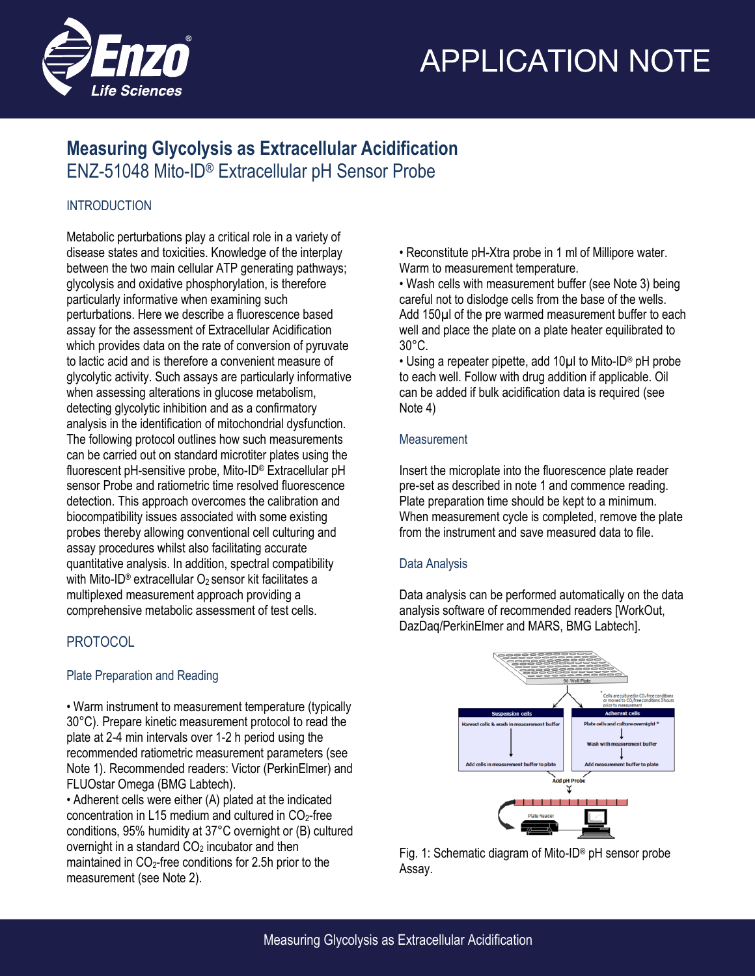

# **APPLICATION NOTE**

# **Measuring Glycolysis as Extracellular Acidification** ENZ-51048 Mito-ID® Extracellular pH Sensor Probe

## INTRODUCTION

Metabolic perturbations play a critical role in a variety of disease states and toxicities. Knowledge of the interplay between the two main cellular ATP generating pathways; glycolysis and oxidative phosphorylation, is therefore particularly informative when examining such perturbations. Here we describe a fluorescence based assay for the assessment of Extracellular Acidification which provides data on the rate of conversion of pyruvate to lactic acid and is therefore a convenient measure of glycolytic activity. Such assays are particularly informative when assessing alterations in glucose metabolism, detecting glycolytic inhibition and as a confirmatory analysis in the identification of mitochondrial dysfunction. The following protocol outlines how such measurements can be carried out on standard microtiter plates using the fluorescent pH-sensitive probe, Mito-ID® Extracellular pH sensor Probe and ratiometric time resolved fluorescence detection. This approach overcomes the calibration and biocompatibility issues associated with some existing probes thereby allowing conventional cell culturing and assay procedures whilst also facilitating accurate quantitative analysis. In addition, spectral compatibility with Mito-ID<sup>®</sup> extracellular O<sub>2</sub> sensor kit facilitates a multiplexed measurement approach providing a comprehensive metabolic assessment of test cells.

# **PROTOCOL**

## Plate Preparation and Reading

• Warm instrument to measurement temperature (typically 30°C). Prepare kinetic measurement protocol to read the plate at 2-4 min intervals over 1-2 h period using the recommended ratiometric measurement parameters (see Note 1). Recommended readers: Victor (PerkinElmer) and FLUOstar Omega (BMG Labtech).

• Adherent cells were either (A) plated at the indicated concentration in L15 medium and cultured in  $CO<sub>2</sub>$ -free conditions, 95% humidity at 37°C overnight or (B) cultured overnight in a standard  $CO<sub>2</sub>$  incubator and then maintained in  $CO<sub>2</sub>$ -free conditions for 2.5h prior to the measurement (see Note 2).

• Reconstitute pH-Xtra probe in 1 ml of Millipore water. Warm to measurement temperature.

• Wash cells with measurement buffer (see Note 3) being careful not to dislodge cells from the base of the wells. Add 150µl of the pre warmed measurement buffer to each well and place the plate on a plate heater equilibrated to 30°C.

• Using a repeater pipette, add 10µl to Mito-ID® pH probe to each well. Follow with drug addition if applicable. Oil can be added if bulk acidification data is required (see Note 4)

### **Measurement**

Insert the microplate into the fluorescence plate reader pre-set as described in note 1 and commence reading. Plate preparation time should be kept to a minimum. When measurement cycle is completed, remove the plate from the instrument and save measured data to file.

### Data Analysis

Data analysis can be performed automatically on the data analysis software of recommended readers [WorkOut, DazDaq/PerkinElmer and MARS, BMG Labtech].



Fig. 1: Schematic diagram of Mito-ID® pH sensor probe Assay.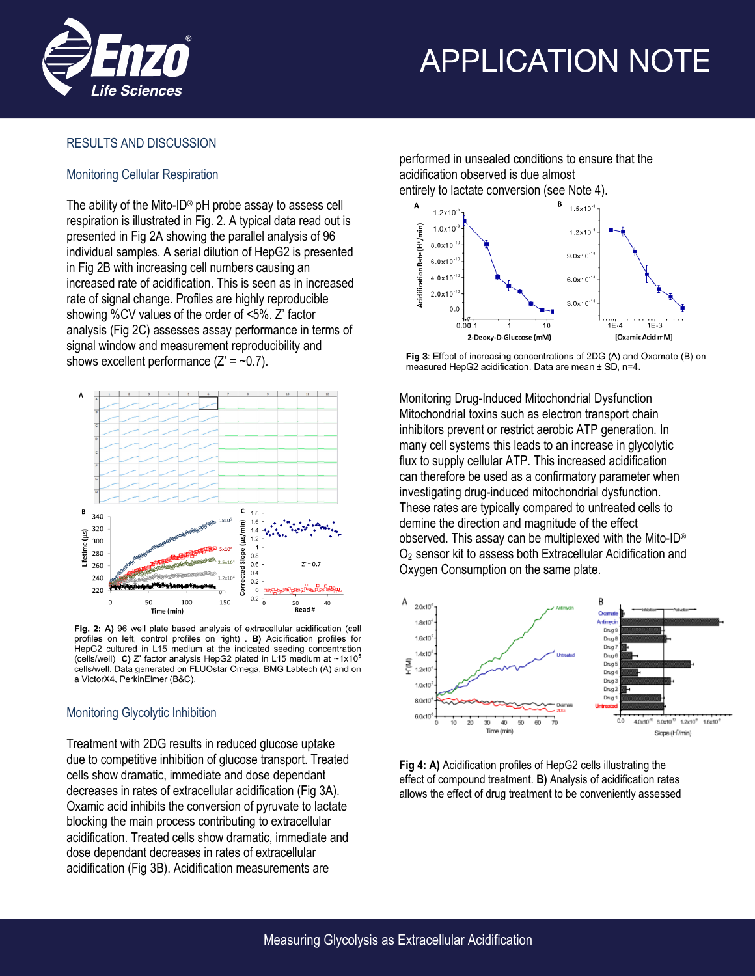

# **APPLICATION NOTE**

#### RESULTS AND DISCUSSION

#### Monitoring Cellular Respiration

The ability of the Mito-ID® pH probe assay to assess cell respiration is illustrated in Fig. 2. A typical data read out is presented in Fig 2A showing the parallel analysis of 96 individual samples. A serial dilution of HepG2 is presented in Fig 2B with increasing cell numbers causing an increased rate of acidification. This is seen as in increased rate of signal change. Profiles are highly reproducible showing %CV values of the order of <5%. Z' factor analysis (Fig 2C) assesses assay performance in terms of signal window and measurement reproducibility and shows excellent performance  $(Z' = -0.7)$ .



Fig. 2: A) 96 well plate based analysis of extracellular acidification (cell profiles on left, control profiles on right) . B) Acidification profiles for HepG2 cultured in L15 medium at the indicated seeding concentration (cells/well) C) Z' factor analysis HepG2 plated in L15 medium at ~1x10<sup>5</sup> cells/well. Data generated on FLUOstar Omega, BMG Labtech (A) and on a VictorX4, PerkinElmer (B&C).

#### Monitoring Glycolytic Inhibition

Treatment with 2DG results in reduced glucose uptake due to competitive inhibition of glucose transport. Treated cells show dramatic, immediate and dose dependant decreases in rates of extracellular acidification (Fig 3A). Oxamic acid inhibits the conversion of pyruvate to lactate blocking the main process contributing to extracellular acidification. Treated cells show dramatic, immediate and dose dependant decreases in rates of extracellular acidification (Fig 3B). Acidification measurements are

performed in unsealed conditions to ensure that the acidification observed is due almost entirely to lactate conversion (see Note 4).



Fig 3: Effect of increasing concentrations of 2DG (A) and Oxamate (B) on measured HepG2 acidification. Data are mean ± SD, n=4.

Monitoring Drug-Induced Mitochondrial Dysfunction Mitochondrial toxins such as electron transport chain inhibitors prevent or restrict aerobic ATP generation. In many cell systems this leads to an increase in glycolytic flux to supply cellular ATP. This increased acidification can therefore be used as a confirmatory parameter when investigating drug-induced mitochondrial dysfunction. These rates are typically compared to untreated cells to demine the direction and magnitude of the effect observed. This assay can be multiplexed with the Mito-ID® O2 sensor kit to assess both Extracellular Acidification and Oxygen Consumption on the same plate.



**Fig 4: A)** Acidification profiles of HepG2 cells illustrating the effect of compound treatment. **B)** Analysis of acidification rates allows the effect of drug treatment to be conveniently assessed